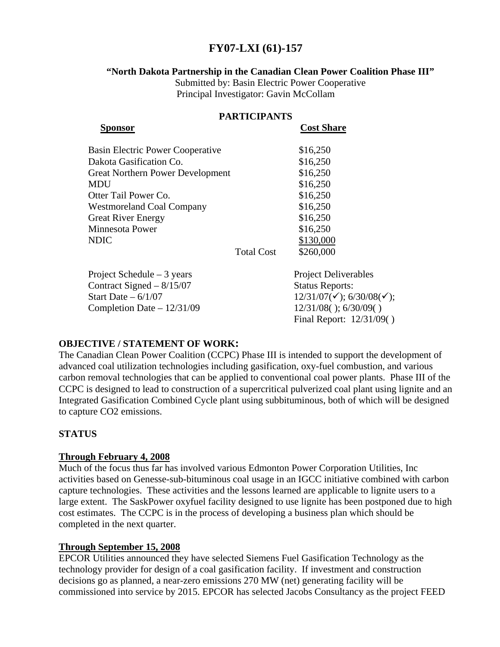# **FY07-LXI (61)-157**

### **"North Dakota Partnership in the Canadian Clean Power Coalition Phase III"**

Submitted by: Basin Electric Power Cooperative Principal Investigator: Gavin McCollam

| <b>PARTICIPANTS</b>                     |                   |                                                   |
|-----------------------------------------|-------------------|---------------------------------------------------|
| Sponsor                                 |                   | <b>Cost Share</b>                                 |
| <b>Basin Electric Power Cooperative</b> |                   | \$16,250                                          |
| Dakota Gasification Co.                 |                   | \$16,250                                          |
| <b>Great Northern Power Development</b> |                   | \$16,250                                          |
| <b>MDU</b>                              |                   | \$16,250                                          |
| Otter Tail Power Co.                    |                   | \$16,250                                          |
| <b>Westmoreland Coal Company</b>        |                   | \$16,250                                          |
| <b>Great River Energy</b>               |                   | \$16,250                                          |
| <b>Minnesota Power</b>                  |                   | \$16,250                                          |
| <b>NDIC</b>                             |                   | \$130,000                                         |
|                                         | <b>Total Cost</b> | \$260,000                                         |
| Project Schedule $-3$ years             |                   | <b>Project Deliverables</b>                       |
| Contract Signed $-8/15/07$              |                   | <b>Status Reports:</b>                            |
| Start Date $-6/1/07$                    |                   | $12/31/07(\checkmark)$ ; 6/30/08( $\checkmark$ ); |
| Completion Date $-12/31/09$             |                   | $12/31/08()$ ; 6/30/09()                          |
|                                         |                   | Final Report: 12/31/09()                          |

## **OBJECTIVE / STATEMENT OF WORK:**

The Canadian Clean Power Coalition (CCPC) Phase III is intended to support the development of advanced coal utilization technologies including gasification, oxy-fuel combustion, and various carbon removal technologies that can be applied to conventional coal power plants. Phase III of the CCPC is designed to lead to construction of a supercritical pulverized coal plant using lignite and an Integrated Gasification Combined Cycle plant using subbituminous, both of which will be designed to capture CO2 emissions.

## **STATUS**

## **Through February 4, 2008**

Much of the focus thus far has involved various Edmonton Power Corporation Utilities, Inc activities based on Genesse-sub-bituminous coal usage in an IGCC initiative combined with carbon capture technologies. These activities and the lessons learned are applicable to lignite users to a large extent. The SaskPower oxyfuel facility designed to use lignite has been postponed due to high cost estimates. The CCPC is in the process of developing a business plan which should be completed in the next quarter.

## **Through September 15, 2008**

EPCOR Utilities announced they have selected Siemens Fuel Gasification Technology as the technology provider for design of a coal gasification facility. If investment and construction decisions go as planned, a near-zero emissions 270 MW (net) generating facility will be commissioned into service by 2015. EPCOR has selected Jacobs Consultancy as the project FEED